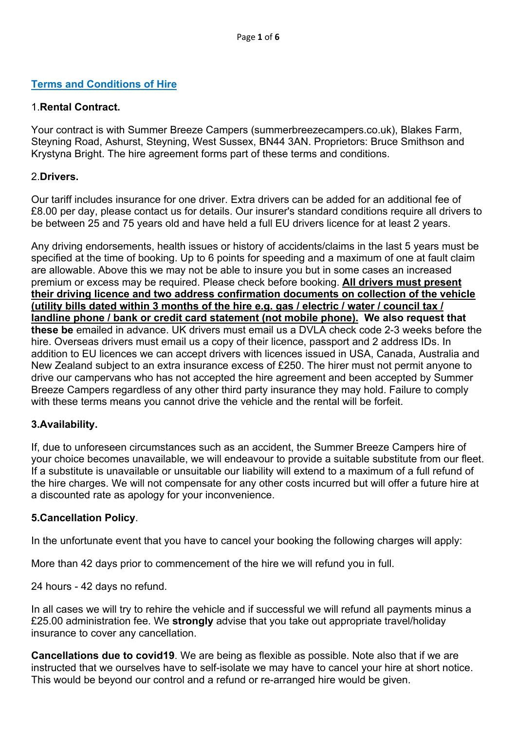## **Terms and Conditions of Hire**

## 1.**Rental Contract.**

Your contract is with Summer Breeze Campers (summerbreezecampers.co.uk), Blakes Farm, Steyning Road, Ashurst, Steyning, West Sussex, BN44 3AN. Proprietors: Bruce Smithson and Krystyna Bright. The hire agreement forms part of these terms and conditions.

## 2.**Drivers.**

Our tariff includes insurance for one driver. Extra drivers can be added for an additional fee of £8.00 per day, please contact us for details. Our insurer's standard conditions require all drivers to be between 25 and 75 years old and have held a full EU drivers licence for at least 2 years.

Any driving endorsements, health issues or history of accidents/claims in the last 5 years must be specified at the time of booking. Up to 6 points for speeding and a maximum of one at fault claim are allowable. Above this we may not be able to insure you but in some cases an increased premium or excess may be required. Please check before booking. **All drivers must present their driving licence and two address confirmation documents on collection of the vehicle (utility bills dated within 3 months of the hire e.g. gas / electric / water / council tax / landline phone / bank or credit card statement (not mobile phone). We also request that these be** emailed in advance. UK drivers must email us a DVLA check code 2-3 weeks before the hire. Overseas drivers must email us a copy of their licence, passport and 2 address IDs. In addition to EU licences we can accept drivers with licences issued in USA, Canada, Australia and New Zealand subject to an extra insurance excess of £250. The hirer must not permit anyone to drive our campervans who has not accepted the hire agreement and been accepted by Summer Breeze Campers regardless of any other third party insurance they may hold. Failure to comply with these terms means you cannot drive the vehicle and the rental will be forfeit.

#### **3.Availability.**

If, due to unforeseen circumstances such as an accident, the Summer Breeze Campers hire of your choice becomes unavailable, we will endeavour to provide a suitable substitute from our fleet. If a substitute is unavailable or unsuitable our liability will extend to a maximum of a full refund of the hire charges. We will not compensate for any other costs incurred but will offer a future hire at a discounted rate as apology for your inconvenience.

#### **5.Cancellation Policy**.

In the unfortunate event that you have to cancel your booking the following charges will apply:

More than 42 days prior to commencement of the hire we will refund you in full.

24 hours - 42 days no refund.

In all cases we will try to rehire the vehicle and if successful we will refund all payments minus a £25.00 administration fee. We **strongly** advise that you take out appropriate travel/holiday insurance to cover any cancellation.

**Cancellations due to covid19**. We are being as flexible as possible. Note also that if we are instructed that we ourselves have to self-isolate we may have to cancel your hire at short notice. This would be beyond our control and a refund or re-arranged hire would be given.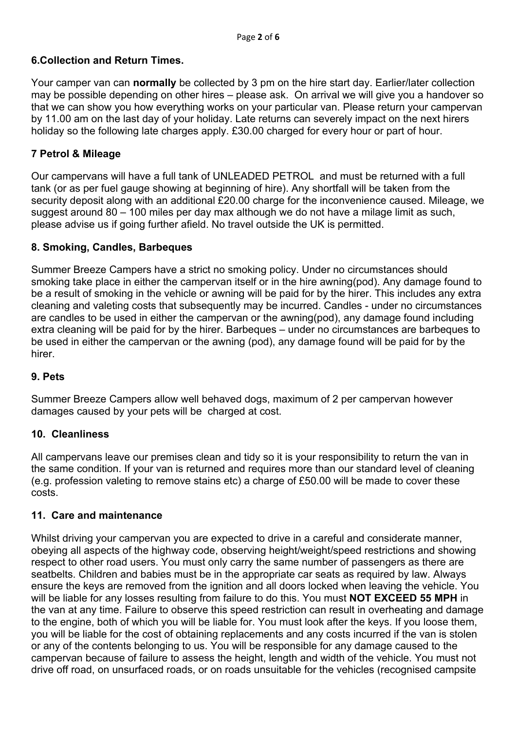## **6.Collection and Return Times.**

Your camper van can **normally** be collected by 3 pm on the hire start day. Earlier/later collection may be possible depending on other hires – please ask. On arrival we will give you a handover so that we can show you how everything works on your particular van. Please return your campervan by 11.00 am on the last day of your holiday. Late returns can severely impact on the next hirers holiday so the following late charges apply. £30.00 charged for every hour or part of hour.

### **7 Petrol & Mileage**

Our campervans will have a full tank of UNLEADED PETROL and must be returned with a full tank (or as per fuel gauge showing at beginning of hire). Any shortfall will be taken from the security deposit along with an additional £20.00 charge for the inconvenience caused. Mileage, we suggest around 80 – 100 miles per day max although we do not have a milage limit as such, please advise us if going further afield. No travel outside the UK is permitted.

#### **8. Smoking, Candles, Barbeques**

Summer Breeze Campers have a strict no smoking policy. Under no circumstances should smoking take place in either the campervan itself or in the hire awning(pod). Any damage found to be a result of smoking in the vehicle or awning will be paid for by the hirer. This includes any extra cleaning and valeting costs that subsequently may be incurred. Candles - under no circumstances are candles to be used in either the campervan or the awning(pod), any damage found including extra cleaning will be paid for by the hirer. Barbeques – under no circumstances are barbeques to be used in either the campervan or the awning (pod), any damage found will be paid for by the hirer.

#### **9. Pets**

Summer Breeze Campers allow well behaved dogs, maximum of 2 per campervan however damages caused by your pets will be charged at cost.

#### **10. Cleanliness**

All campervans leave our premises clean and tidy so it is your responsibility to return the van in the same condition. If your van is returned and requires more than our standard level of cleaning (e.g. profession valeting to remove stains etc) a charge of £50.00 will be made to cover these costs.

#### **11. Care and maintenance**

Whilst driving your campervan you are expected to drive in a careful and considerate manner, obeying all aspects of the highway code, observing height/weight/speed restrictions and showing respect to other road users. You must only carry the same number of passengers as there are seatbelts. Children and babies must be in the appropriate car seats as required by law. Always ensure the keys are removed from the ignition and all doors locked when leaving the vehicle. You will be liable for any losses resulting from failure to do this. You must **NOT EXCEED 55 MPH** in the van at any time. Failure to observe this speed restriction can result in overheating and damage to the engine, both of which you will be liable for. You must look after the keys. If you loose them, you will be liable for the cost of obtaining replacements and any costs incurred if the van is stolen or any of the contents belonging to us. You will be responsible for any damage caused to the campervan because of failure to assess the height, length and width of the vehicle. You must not drive off road, on unsurfaced roads, or on roads unsuitable for the vehicles (recognised campsite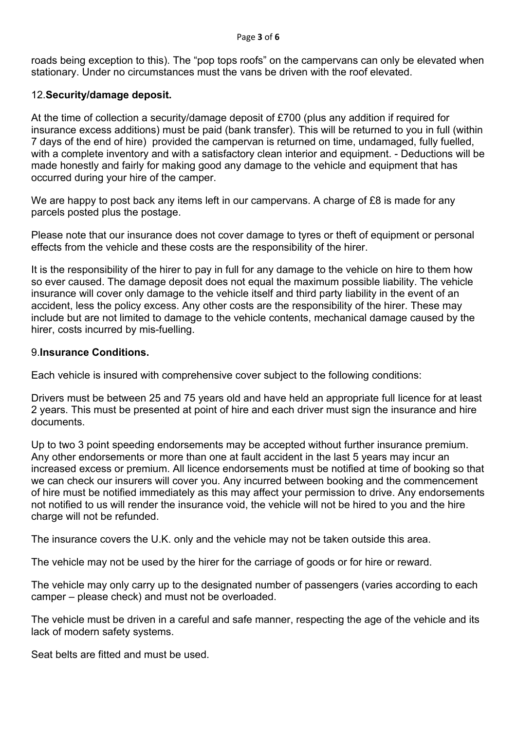roads being exception to this). The "pop tops roofs" on the campervans can only be elevated when stationary. Under no circumstances must the vans be driven with the roof elevated.

### 12.**Security/damage deposit.**

At the time of collection a security/damage deposit of £700 (plus any addition if required for insurance excess additions) must be paid (bank transfer). This will be returned to you in full (within 7 days of the end of hire) provided the campervan is returned on time, undamaged, fully fuelled, with a complete inventory and with a satisfactory clean interior and equipment. - Deductions will be made honestly and fairly for making good any damage to the vehicle and equipment that has occurred during your hire of the camper.

We are happy to post back any items left in our campervans. A charge of £8 is made for any parcels posted plus the postage.

Please note that our insurance does not cover damage to tyres or theft of equipment or personal effects from the vehicle and these costs are the responsibility of the hirer.

It is the responsibility of the hirer to pay in full for any damage to the vehicle on hire to them how so ever caused. The damage deposit does not equal the maximum possible liability. The vehicle insurance will cover only damage to the vehicle itself and third party liability in the event of an accident, less the policy excess. Any other costs are the responsibility of the hirer. These may include but are not limited to damage to the vehicle contents, mechanical damage caused by the hirer, costs incurred by mis-fuelling.

#### 9.**Insurance Conditions.**

Each vehicle is insured with comprehensive cover subject to the following conditions:

Drivers must be between 25 and 75 years old and have held an appropriate full licence for at least 2 years. This must be presented at point of hire and each driver must sign the insurance and hire documents.

Up to two 3 point speeding endorsements may be accepted without further insurance premium. Any other endorsements or more than one at fault accident in the last 5 years may incur an increased excess or premium. All licence endorsements must be notified at time of booking so that we can check our insurers will cover you. Any incurred between booking and the commencement of hire must be notified immediately as this may affect your permission to drive. Any endorsements not notified to us will render the insurance void, the vehicle will not be hired to you and the hire charge will not be refunded.

The insurance covers the U.K. only and the vehicle may not be taken outside this area.

The vehicle may not be used by the hirer for the carriage of goods or for hire or reward.

The vehicle may only carry up to the designated number of passengers (varies according to each camper – please check) and must not be overloaded.

The vehicle must be driven in a careful and safe manner, respecting the age of the vehicle and its lack of modern safety systems.

Seat belts are fitted and must be used.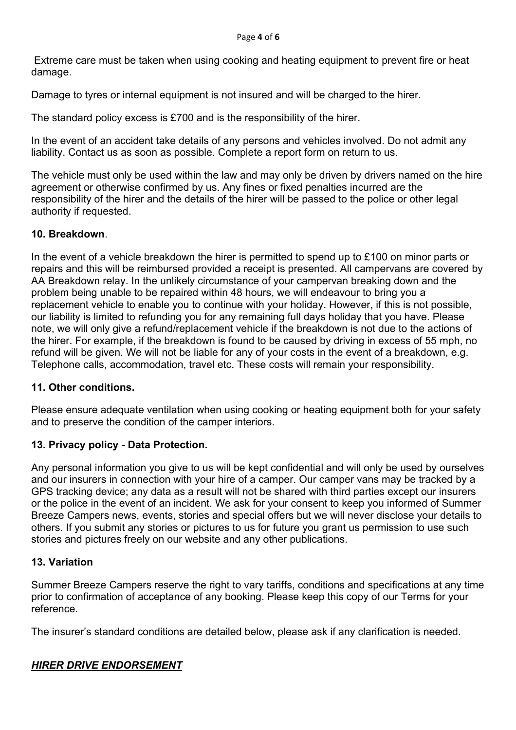Extreme care must be taken when using cooking and heating equipment to prevent fire or heat damage.

Damage to tyres or internal equipment is not insured and will be charged to the hirer.

The standard policy excess is £700 and is the responsibility of the hirer.

In the event of an accident take details of any persons and vehicles involved. Do not admit any liability. Contact us as soon as possible. Complete a report form on return to us.

The vehicle must only be used within the law and may only be driven by drivers named on the hire agreement or otherwise confirmed by us. Any fines or fixed penalties incurred are the responsibility of the hirer and the details of the hirer will be passed to the police or other legal authority if requested.

## **10. Breakdown**.

In the event of a vehicle breakdown the hirer is permitted to spend up to £100 on minor parts or repairs and this will be reimbursed provided a receipt is presented. All campervans are covered by AA Breakdown relay. In the unlikely circumstance of your campervan breaking down and the problem being unable to be repaired within 48 hours, we will endeavour to bring you a replacement vehicle to enable you to continue with your holiday. However, if this is not possible, our liability is limited to refunding you for any remaining full days holiday that you have. Please note, we will only give a refund/replacement vehicle if the breakdown is not due to the actions of the hirer. For example, if the breakdown is found to be caused by driving in excess of 55 mph, no refund will be given. We will not be liable for any of your costs in the event of a breakdown, e.g. Telephone calls, accommodation, travel etc. These costs will remain your responsibility.

## **11. Other conditions.**

Please ensure adequate ventilation when using cooking or heating equipment both for your safety and to preserve the condition of the camper interiors.

## **13. Privacy policy - Data Protection.**

Any personal information you give to us will be kept confidential and will only be used by ourselves and our insurers in connection with your hire of a camper. Our camper vans may be tracked by a GPS tracking device; any data as a result will not be shared with third parties except our insurers or the police in the event of an incident. We ask for your consent to keep you informed of Summer Breeze Campers news, events, stories and special offers but we will never disclose your details to others. If you submit any stories or pictures to us for future you grant us permission to use such stories and pictures freely on our website and any other publications.

## **13. Variation**

Summer Breeze Campers reserve the right to vary tariffs, conditions and specifications at any time prior to confirmation of acceptance of any booking. Please keep this copy of our Terms for your reference.

The insurer's standard conditions are detailed below, please ask if any clarification is needed.

# *HIRER DRIVE ENDORSEMENT*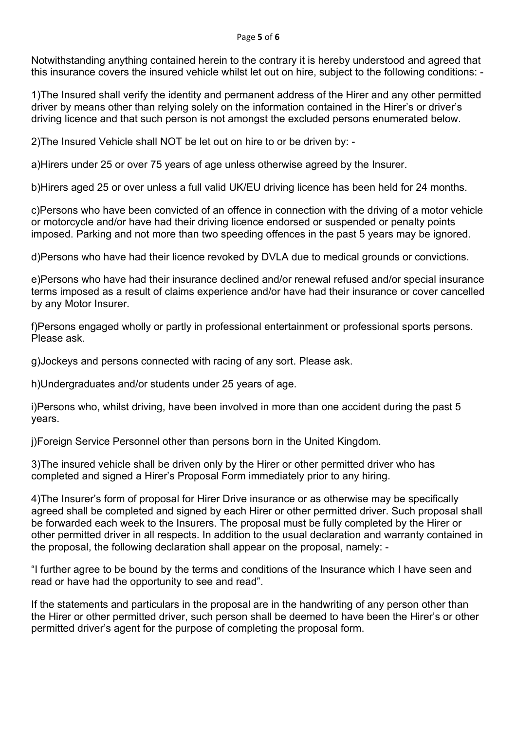Notwithstanding anything contained herein to the contrary it is hereby understood and agreed that this insurance covers the insured vehicle whilst let out on hire, subject to the following conditions: -

1)The Insured shall verify the identity and permanent address of the Hirer and any other permitted driver by means other than relying solely on the information contained in the Hirer's or driver's driving licence and that such person is not amongst the excluded persons enumerated below.

2)The Insured Vehicle shall NOT be let out on hire to or be driven by: -

a)Hirers under 25 or over 75 years of age unless otherwise agreed by the Insurer.

b)Hirers aged 25 or over unless a full valid UK/EU driving licence has been held for 24 months.

c)Persons who have been convicted of an offence in connection with the driving of a motor vehicle or motorcycle and/or have had their driving licence endorsed or suspended or penalty points imposed. Parking and not more than two speeding offences in the past 5 years may be ignored.

d)Persons who have had their licence revoked by DVLA due to medical grounds or convictions.

e)Persons who have had their insurance declined and/or renewal refused and/or special insurance terms imposed as a result of claims experience and/or have had their insurance or cover cancelled by any Motor Insurer.

f)Persons engaged wholly or partly in professional entertainment or professional sports persons. Please ask.

g)Jockeys and persons connected with racing of any sort. Please ask.

h)Undergraduates and/or students under 25 years of age.

i)Persons who, whilst driving, have been involved in more than one accident during the past 5 years.

j)Foreign Service Personnel other than persons born in the United Kingdom.

3)The insured vehicle shall be driven only by the Hirer or other permitted driver who has completed and signed a Hirer's Proposal Form immediately prior to any hiring.

4)The Insurer's form of proposal for Hirer Drive insurance or as otherwise may be specifically agreed shall be completed and signed by each Hirer or other permitted driver. Such proposal shall be forwarded each week to the Insurers. The proposal must be fully completed by the Hirer or other permitted driver in all respects. In addition to the usual declaration and warranty contained in the proposal, the following declaration shall appear on the proposal, namely: -

"I further agree to be bound by the terms and conditions of the Insurance which I have seen and read or have had the opportunity to see and read".

If the statements and particulars in the proposal are in the handwriting of any person other than the Hirer or other permitted driver, such person shall be deemed to have been the Hirer's or other permitted driver's agent for the purpose of completing the proposal form.